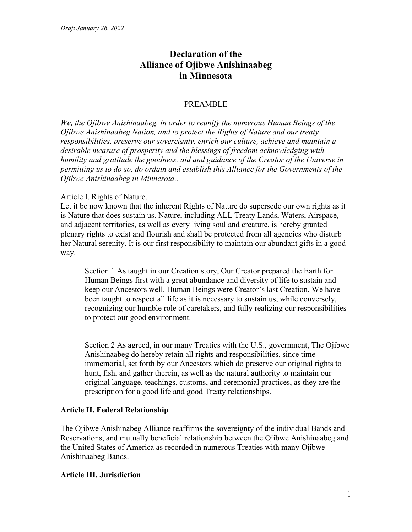# Declaration of the Alliance of Ojibwe Anishinaabeg in Minnesota

# PREAMBLE

We, the Ojibwe Anishinaabeg, in order to reunify the numerous Human Beings of the Ojibwe Anishinaabeg Nation, and to protect the Rights of Nature and our treaty responsibilities, preserve our sovereignty, enrich our culture, achieve and maintain a desirable measure of prosperity and the blessings of freedom acknowledging with humility and gratitude the goodness, aid and guidance of the Creator of the Universe in permitting us to do so, do ordain and establish this Alliance for the Governments of the Ojibwe Anishinaabeg in Minnesota..

#### Article I. Rights of Nature.

Let it be now known that the inherent Rights of Nature do supersede our own rights as it is Nature that does sustain us. Nature, including ALL Treaty Lands, Waters, Airspace, and adjacent territories, as well as every living soul and creature, is hereby granted plenary rights to exist and flourish and shall be protected from all agencies who disturb her Natural serenity. It is our first responsibility to maintain our abundant gifts in a good way.

Section 1 As taught in our Creation story, Our Creator prepared the Earth for Human Beings first with a great abundance and diversity of life to sustain and keep our Ancestors well. Human Beings were Creator's last Creation. We have been taught to respect all life as it is necessary to sustain us, while conversely, recognizing our humble role of caretakers, and fully realizing our responsibilities to protect our good environment.

Section 2 As agreed, in our many Treaties with the U.S., government, The Ojibwe Anishinaabeg do hereby retain all rights and responsibilities, since time immemorial, set forth by our Ancestors which do preserve our original rights to hunt, fish, and gather therein, as well as the natural authority to maintain our original language, teachings, customs, and ceremonial practices, as they are the prescription for a good life and good Treaty relationships.

# Article II. Federal Relationship

The Ojibwe Anishinabeg Alliance reaffirms the sovereignty of the individual Bands and Reservations, and mutually beneficial relationship between the Ojibwe Anishinaabeg and the United States of America as recorded in numerous Treaties with many Ojibwe Anishinaabeg Bands.

# Article III. Jurisdiction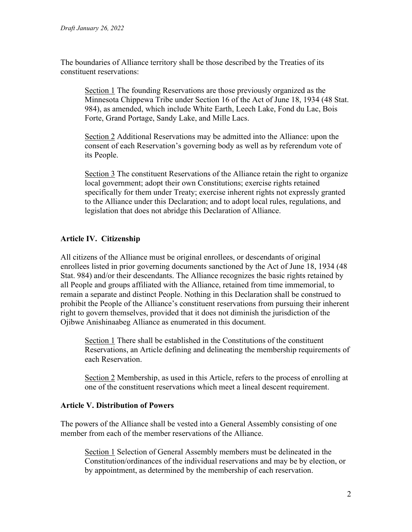The boundaries of Alliance territory shall be those described by the Treaties of its constituent reservations:

Section 1 The founding Reservations are those previously organized as the Minnesota Chippewa Tribe under Section 16 of the Act of June 18, 1934 (48 Stat. 984), as amended, which include White Earth, Leech Lake, Fond du Lac, Bois Forte, Grand Portage, Sandy Lake, and Mille Lacs.

Section 2 Additional Reservations may be admitted into the Alliance: upon the consent of each Reservation's governing body as well as by referendum vote of its People.

Section 3 The constituent Reservations of the Alliance retain the right to organize local government; adopt their own Constitutions; exercise rights retained specifically for them under Treaty; exercise inherent rights not expressly granted to the Alliance under this Declaration; and to adopt local rules, regulations, and legislation that does not abridge this Declaration of Alliance.

# Article IV. Citizenship

All citizens of the Alliance must be original enrollees, or descendants of original enrollees listed in prior governing documents sanctioned by the Act of June 18, 1934 (48 Stat. 984) and/or their descendants. The Alliance recognizes the basic rights retained by all People and groups affiliated with the Alliance, retained from time immemorial, to remain a separate and distinct People. Nothing in this Declaration shall be construed to prohibit the People of the Alliance's constituent reservations from pursuing their inherent right to govern themselves, provided that it does not diminish the jurisdiction of the Ojibwe Anishinaabeg Alliance as enumerated in this document.

Section 1 There shall be established in the Constitutions of the constituent Reservations, an Article defining and delineating the membership requirements of each Reservation.

Section 2 Membership, as used in this Article, refers to the process of enrolling at one of the constituent reservations which meet a lineal descent requirement.

# Article V. Distribution of Powers

The powers of the Alliance shall be vested into a General Assembly consisting of one member from each of the member reservations of the Alliance.

Section 1 Selection of General Assembly members must be delineated in the Constitution/ordinances of the individual reservations and may be by election, or by appointment, as determined by the membership of each reservation.